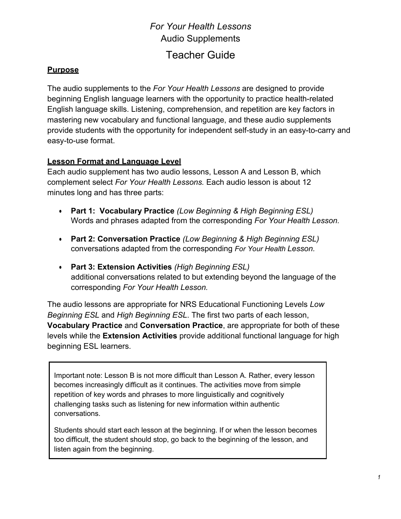# *For Your Health Lessons* Audio Supplements Teacher Guide

#### **Purpose**

The audio supplements to the *For Your Health Lessons* are designed to provide beginning English language learners with the opportunity to practice health-related English language skills. Listening, comprehension, and repetition are key factors in mastering new vocabulary and functional language, and these audio supplements provide students with the opportunity for independent self-study in an easy-to-carry and easy-to-use format.

# **Lesson Format and Language Level**

Each audio supplement has two audio lessons, Lesson A and Lesson B, which complement select *For Your Health Lessons.* Each audio lesson is about 12 minutes long and has three parts:

- **Part 1: Vocabulary Practice** *(Low Beginning & High Beginning ESL)* Words and phrases adapted from the corresponding *For Your Health Lesson.*
- **Part 2: Conversation Practice** *(Low Beginning & High Beginning ESL)* conversations adapted from the corresponding *For Your Health Lesson.*
- **Part 3: Extension Activities** *(High Beginning ESL)* additional conversations related to but extending beyond the language of the corresponding *For Your Health Lesson.*

The audio lessons are appropriate for NRS Educational Functioning Levels *Low Beginning ESL* and *High Beginning ESL*. The first two parts of each lesson, **Vocabulary Practice** and **Conversation Practice**, are appropriate for both of these levels while the **Extension Activities** provide additional functional language for high beginning ESL learners.

Important note: Lesson B is not more difficult than Lesson A. Rather, every lesson becomes increasingly difficult as it continues. The activities move from simple repetition of key words and phrases to more linguistically and cognitively challenging tasks such as listening for new information within authentic conversations.

Students should start each lesson at the beginning. If or when the lesson becomes too difficult, the student should stop, go back to the beginning of the lesson, and listen again from the beginning.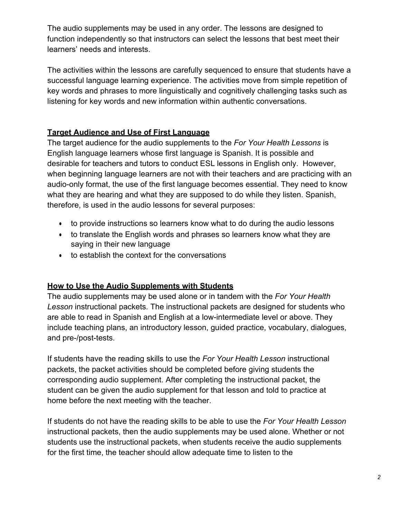The audio supplements may be used in any order. The lessons are designed to function independently so that instructors can select the lessons that best meet their learners' needs and interests.

The activities within the lessons are carefully sequenced to ensure that students have a successful language learning experience. The activities move from simple repetition of key words and phrases to more linguistically and cognitively challenging tasks such as listening for key words and new information within authentic conversations.

# **Target Audience and Use of First Language**

The target audience for the audio supplements to the *For Your Health Lessons* is English language learners whose first language is Spanish. It is possible and desirable for teachers and tutors to conduct ESL lessons in English only. However, when beginning language learners are not with their teachers and are practicing with an audio-only format, the use of the first language becomes essential. They need to know what they are hearing and what they are supposed to do while they listen. Spanish, therefore, is used in the audio lessons for several purposes:

- to provide instructions so learners know what to do during the audio lessons
- to translate the English words and phrases so learners know what they are saying in their new language
- to establish the context for the conversations

# **How to Use the Audio Supplements with Students**

The audio supplements may be used alone or in tandem with the *For Your Health Lesson* instructional packets*.* The instructional packets are designed for students who are able to read in Spanish and English at a low-intermediate level or above. They include teaching plans, an introductory lesson, guided practice, vocabulary, dialogues, and pre-/post-tests.

If students have the reading skills to use the *For Your Health Lesson* instructional packets, the packet activities should be completed before giving students the corresponding audio supplement. After completing the instructional packet, the student can be given the audio supplement for that lesson and told to practice at home before the next meeting with the teacher.

If students do not have the reading skills to be able to use the *For Your Health Lesson*  instructional packets, then the audio supplements may be used alone. Whether or not students use the instructional packets, when students receive the audio supplements for the first time, the teacher should allow adequate time to listen to the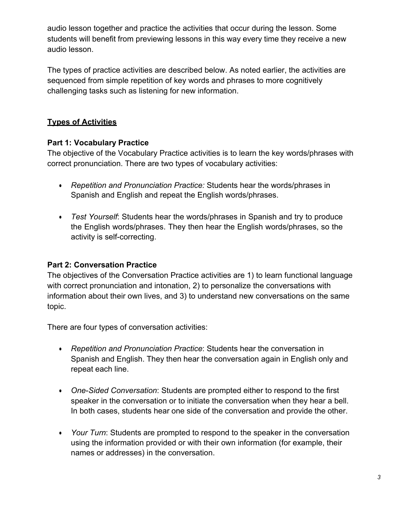audio lesson together and practice the activities that occur during the lesson. Some students will benefit from previewing lessons in this way every time they receive a new audio lesson.

The types of practice activities are described below. As noted earlier, the activities are sequenced from simple repetition of key words and phrases to more cognitively challenging tasks such as listening for new information.

# **Types of Activities**

#### **Part 1: Vocabulary Practice**

The objective of the Vocabulary Practice activities is to learn the key words/phrases with correct pronunciation. There are two types of vocabulary activities:

- *Repetition and Pronunciation Practice:* Students hear the words/phrases in Spanish and English and repeat the English words/phrases.
- *Test Yourself*: Students hear the words/phrases in Spanish and try to produce the English words/phrases. They then hear the English words/phrases, so the activity is self-correcting.

# **Part 2: Conversation Practice**

The objectives of the Conversation Practice activities are 1) to learn functional language with correct pronunciation and intonation, 2) to personalize the conversations with information about their own lives, and 3) to understand new conversations on the same topic.

There are four types of conversation activities:

- *Repetition and Pronunciation Practice*: Students hear the conversation in Spanish and English. They then hear the conversation again in English only and repeat each line.
- *One*-*Sided Conversation*: Students are prompted either to respond to the first speaker in the conversation or to initiate the conversation when they hear a bell. In both cases, students hear one side of the conversation and provide the other.
- *Your Turn*: Students are prompted to respond to the speaker in the conversation using the information provided or with their own information (for example, their names or addresses) in the conversation.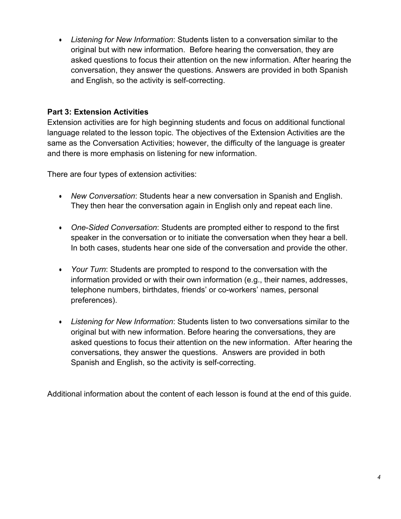• *Listening for New Information*: Students listen to a conversation similar to the original but with new information. Before hearing the conversation, they are asked questions to focus their attention on the new information. After hearing the conversation, they answer the questions. Answers are provided in both Spanish and English, so the activity is self-correcting.

# **Part 3: Extension Activities**

Extension activities are for high beginning students and focus on additional functional language related to the lesson topic. The objectives of the Extension Activities are the same as the Conversation Activities; however, the difficulty of the language is greater and there is more emphasis on listening for new information.

There are four types of extension activities:

- *New Conversation*: Students hear a new conversation in Spanish and English. They then hear the conversation again in English only and repeat each line.
- *One*-*Sided Conversation*: Students are prompted either to respond to the first speaker in the conversation or to initiate the conversation when they hear a bell. In both cases, students hear one side of the conversation and provide the other.
- *Your Turn*: Students are prompted to respond to the conversation with the information provided or with their own information (e.g., their names, addresses, telephone numbers, birthdates, friends' or co-workers' names, personal preferences).
- *Listening for New Information*: Students listen to two conversations similar to the original but with new information. Before hearing the conversations, they are asked questions to focus their attention on the new information. After hearing the conversations, they answer the questions. Answers are provided in both Spanish and English, so the activity is self-correcting.

Additional information about the content of each lesson is found at the end of this guide.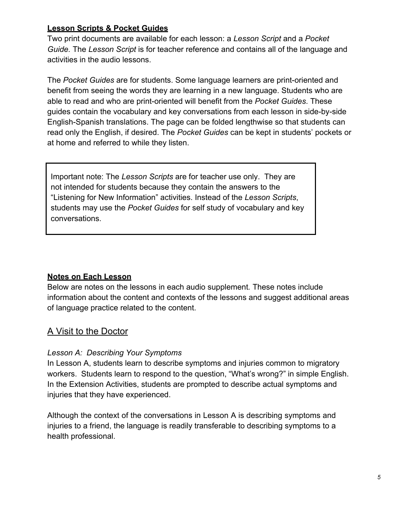#### **Lesson Scripts & Pocket Guides**

Two print documents are available for each lesson: a *Lesson Script* and a *Pocket Guide.* The *Lesson Script* is for teacher reference and contains all of the language and activities in the audio lessons.

The *Pocket Guides* are for students. Some language learners are print-oriented and benefit from seeing the words they are learning in a new language. Students who are able to read and who are print-oriented will benefit from the *Pocket Guides*. These guides contain the vocabulary and key conversations from each lesson in side-by-side English-Spanish translations. The page can be folded lengthwise so that students can read only the English, if desired. The *Pocket Guides* can be kept in students' pockets or at home and referred to while they listen.

Important note: The *Lesson Scripts* are for teacher use only. They are not intended for students because they contain the answers to the "Listening for New Information" activities. Instead of the *Lesson Scripts*, students may use the *Pocket Guides* for self study of vocabulary and key conversations.

#### **Notes on Each Lesson**

Below are notes on the lessons in each audio supplement*.* These notes include information about the content and contexts of the lessons and suggest additional areas of language practice related to the content.

# A Visit to the Doctor

#### *Lesson A: Describing Your Symptoms*

In Lesson A, students learn to describe symptoms and injuries common to migratory workers. Students learn to respond to the question, "What's wrong?" in simple English. In the Extension Activities, students are prompted to describe actual symptoms and injuries that they have experienced.

Although the context of the conversations in Lesson A is describing symptoms and injuries to a friend, the language is readily transferable to describing symptoms to a health professional.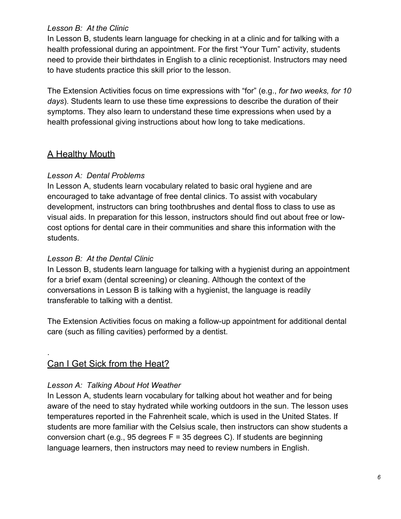#### *Lesson B: At the Clinic*

In Lesson B, students learn language for checking in at a clinic and for talking with a health professional during an appointment. For the first "Your Turn" activity, students need to provide their birthdates in English to a clinic receptionist. Instructors may need to have students practice this skill prior to the lesson.

The Extension Activities focus on time expressions with "for" (e.g., *for two weeks, for 10 days*). Students learn to use these time expressions to describe the duration of their symptoms. They also learn to understand these time expressions when used by a health professional giving instructions about how long to take medications.

# A Healthy Mouth

# *Lesson A: Dental Problems*

In Lesson A, students learn vocabulary related to basic oral hygiene and are encouraged to take advantage of free dental clinics. To assist with vocabulary development, instructors can bring toothbrushes and dental floss to class to use as visual aids. In preparation for this lesson, instructors should find out about free or lowcost options for dental care in their communities and share this information with the students.

#### *Lesson B: At the Dental Clinic*

In Lesson B, students learn language for talking with a hygienist during an appointment for a brief exam (dental screening) or cleaning. Although the context of the conversations in Lesson B is talking with a hygienist, the language is readily transferable to talking with a dentist.

The Extension Activities focus on making a follow-up appointment for additional dental care (such as filling cavities) performed by a dentist.

# Can I Get Sick from the Heat?

.

# *Lesson A: Talking About Hot Weather*

In Lesson A, students learn vocabulary for talking about hot weather and for being aware of the need to stay hydrated while working outdoors in the sun. The lesson uses temperatures reported in the Fahrenheit scale, which is used in the United States. If students are more familiar with the Celsius scale, then instructors can show students a conversion chart (e.g., 95 degrees  $F = 35$  degrees C). If students are beginning language learners, then instructors may need to review numbers in English.